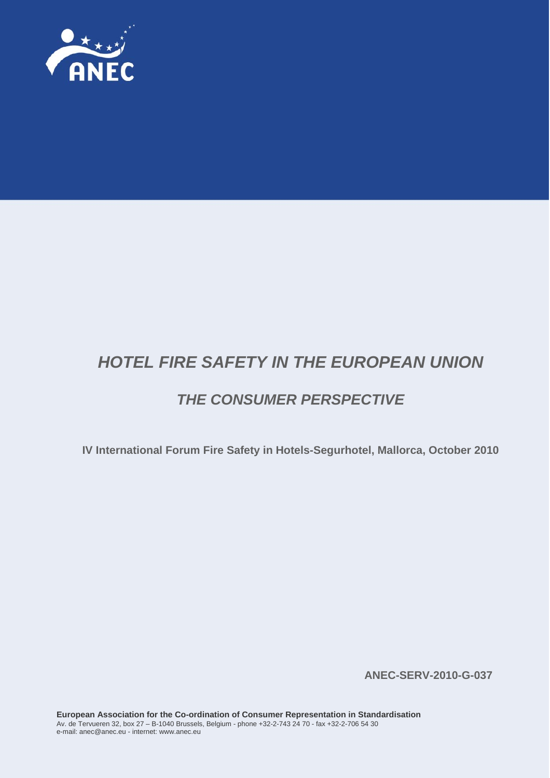

# *HOTEL FIRE SAFETY IN THE EUROPEAN UNION*

## *THE CONSUMER PERSPECTIVE*

**IV International Forum Fire Safety in Hotels-Segurhotel, Mallorca, October 2010** 

**ANEC-SERV-2010-G-037**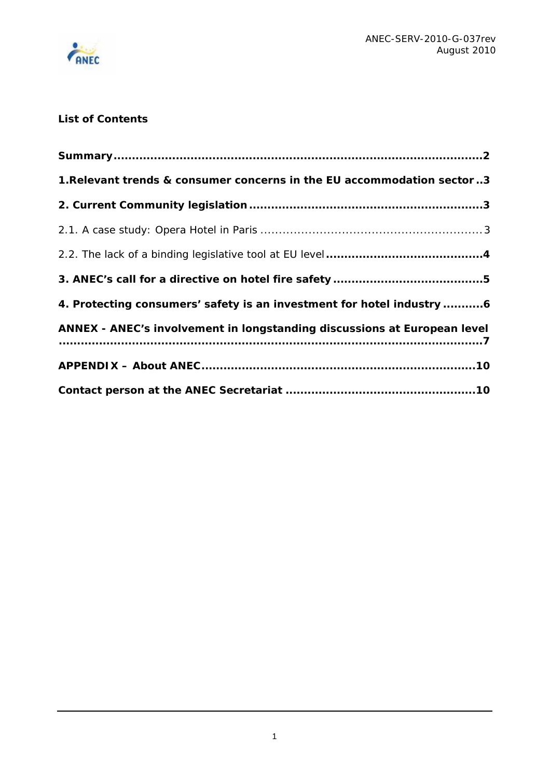

## **List of Contents**

| 1. Relevant trends & consumer concerns in the EU accommodation sector 3  |
|--------------------------------------------------------------------------|
|                                                                          |
|                                                                          |
|                                                                          |
|                                                                          |
| 4. Protecting consumers' safety is an investment for hotel industry 6    |
| ANNEX - ANEC's involvement in longstanding discussions at European level |
|                                                                          |
|                                                                          |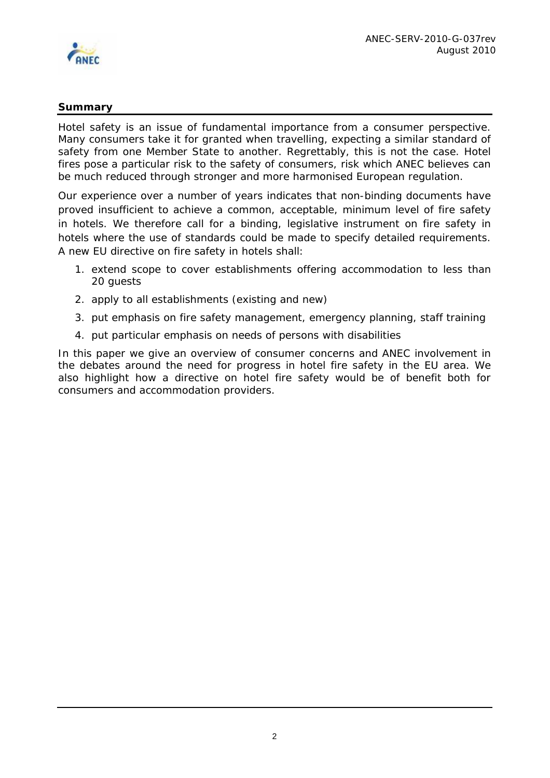<span id="page-2-0"></span>

## **Summary**

Hotel safety is an issue of fundamental importance from a consumer perspective. Many consumers take it for granted when travelling, expecting a similar standard of safety from one Member State to another. Regrettably, this is not the case. Hotel fires pose a particular risk to the safety of consumers, risk which ANEC believes can be much reduced through stronger and more harmonised European regulation.

Our experience over a number of years indicates that non-binding documents have proved insufficient to achieve a common, acceptable, minimum level of fire safety in hotels. We therefore call for a binding, legislative instrument on fire safety in hotels where the use of standards could be made to specify detailed requirements. A new EU directive on fire safety in hotels shall:

- 1. extend scope to cover establishments offering accommodation to less than 20 guests
- 2. apply to all establishments (existing and new)
- 3. put emphasis on fire safety management, emergency planning, staff training
- 4. put particular emphasis on needs of persons with disabilities

In this paper we give an overview of consumer concerns and ANEC involvement in the debates around the need for progress in hotel fire safety in the EU area. We also highlight how a directive on hotel fire safety would be of benefit both for consumers and accommodation providers.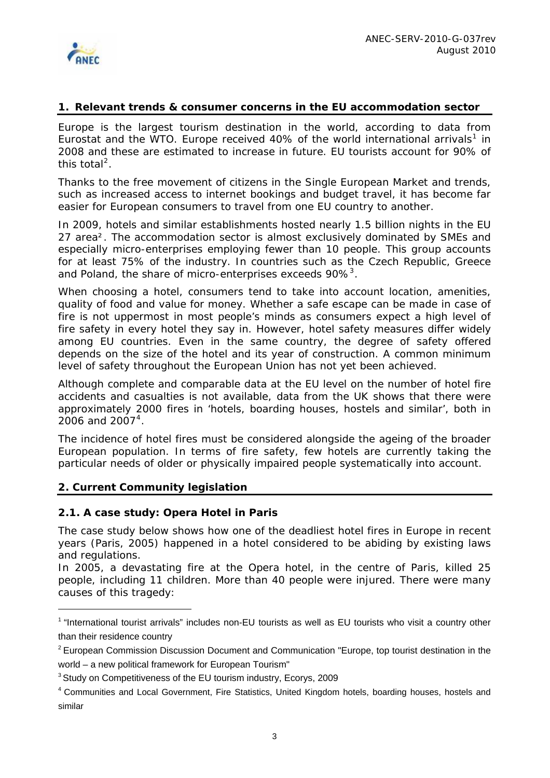<span id="page-3-0"></span>

#### **1. Relevant trends & consumer concerns in the EU accommodation sector**

Europe is the largest tourism destination in the world, according to data from Eurostat and the WTO. Europe received 40% of the world international arrivals<sup>[1](#page-3-1)</sup> in 2008 and these are estimated to increase in future. EU tourists account for 90% of this total<sup>[2](#page-3-2)</sup>.

Thanks to the free movement of citizens in the Single European Market and trends, such as increased access to internet bookings and budget travel, it has become far easier for European consumers to travel from one EU country to another.

In 2009, hotels and similar establishments hosted nearly 1.5 billion nights in the EU 27 area². The accommodation sector is almost exclusively dominated by SMEs and especially micro-enterprises employing fewer than 10 people. This group accounts for at least 75% of the industry. In countries such as the Czech Republic, Greece and Poland, the share of micro-enterprises exceeds 90% $^3$  $^3$ .

When choosing a hotel, consumers tend to take into account location, amenities, quality of food and value for money. Whether a safe escape can be made in case of fire is not uppermost in most people's minds as consumers expect a high level of fire safety in every hotel they say in. However, hotel safety measures differ widely among EU countries. Even in the same country, the degree of safety offered depends on the size of the hotel and its year of construction. A common minimum level of safety throughout the European Union has not yet been achieved.

Although complete and comparable data at the EU level on the number of hotel fire accidents and casualties is not available, data from the UK shows that there were approximately 2000 fires in 'hotels, boarding houses, hostels and similar', both in  $2006$  and  $2007^4$  $2007^4$ .

The incidence of hotel fires must be considered alongside the ageing of the broader European population. In terms of fire safety, few hotels are currently taking the particular needs of older or physically impaired people systematically into account.

#### **2. Current Community legislation**

 $\overline{a}$ 

#### *2.1. A case study: Opera Hotel in Paris*

The case study below shows how one of the deadliest hotel fires in Europe in recent years (Paris, 2005) happened in a hotel considered to be abiding by existing laws and regulations.

In 2005, a devastating fire at the Opera hotel, in the centre of Paris, killed 25 people, including 11 children. More than 40 people were injured. There were many causes of this tragedy:

<span id="page-3-1"></span><sup>&</sup>lt;sup>1</sup> "International tourist arrivals" includes non-EU tourists as well as EU tourists who visit a country other than their residence country

<span id="page-3-2"></span> $2$  European Commission Discussion Document and Communication "Europe, top tourist destination in the world – a new political framework for European Tourism"

<span id="page-3-3"></span><sup>&</sup>lt;sup>3</sup> Study on Competitiveness of the EU tourism industry, Ecorys, 2009

<span id="page-3-4"></span><sup>4</sup> Communities and Local Government, Fire Statistics, United Kingdom hotels, boarding houses, hostels and similar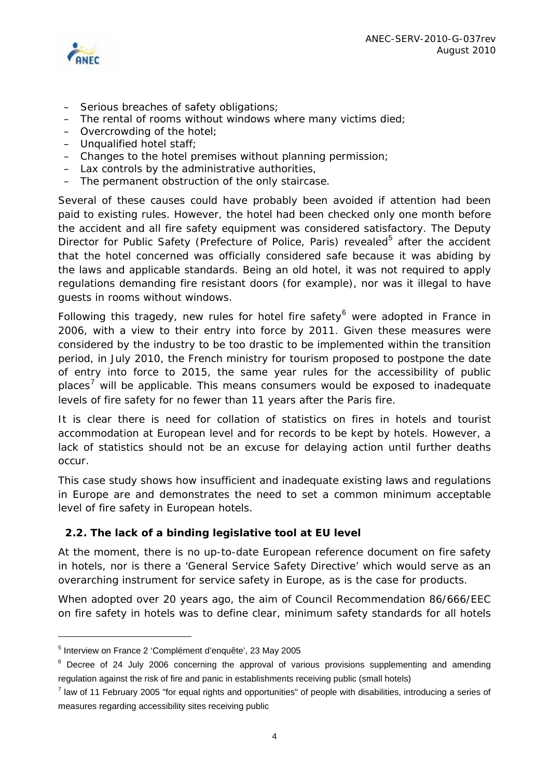



- Serious breaches of safety obligations;
- The rental of rooms without windows where many victims died;
- Overcrowding of the hotel;
- Unqualified hotel staff;
- Changes to the hotel premises without planning permission;
- Lax controls by the administrative authorities,
- The permanent obstruction of the only staircase.

Several of these causes could have probably been avoided if attention had been paid to existing rules. However, the hotel had been checked only one month before the accident and all fire safety equipment was considered satisfactory. The Deputy Director for Public Safety (Prefecture of Police, Paris) revealed<sup>[5](#page-4-0)</sup> after the accident that the hotel concerned was officially considered safe because it was abiding by the laws and applicable standards. Being an old hotel, it was not required to apply regulations demanding fire resistant doors (for example), nor was it illegal to have guests in rooms without windows.

Following this tragedy, new rules for hotel fire safety<sup>[6](#page-4-1)</sup> were adopted in France in 2006, with a view to their entry into force by 2011. Given these measures were considered by the industry to be too drastic to be implemented within the transition period, in July 2010, the French ministry for tourism proposed to postpone the date of entry into force to 2015, the same year rules for the accessibility of public places<sup>[7](#page-4-2)</sup> will be applicable. This means consumers would be exposed to inadequate levels of fire safety for no fewer than 11 years after the Paris fire.

It is clear there is need for collation of statistics on fires in hotels and tourist accommodation at European level and for records to be kept by hotels. However, a lack of statistics should not be an excuse for delaying action until further deaths occur.

This case study shows how insufficient and inadequate existing laws and regulations in Europe are and demonstrates the need to set a common minimum acceptable level of fire safety in European hotels*.* 

## *2.2. The lack of a binding legislative tool at EU level*

At the moment, there is no up-to-date European reference document on fire safety in hotels, nor is there a 'General Service Safety Directive' which would serve as an overarching instrument for service safety in Europe, as is the case for products.

When adopted over 20 years ago, the aim of Council Recommendation 86/666/EEC on fire safety in hotels was to define clear, minimum safety standards for all hotels

 $\overline{a}$ 

<span id="page-4-0"></span><sup>&</sup>lt;sup>5</sup> Interview on France 2 'Complément d'enquête', 23 May 2005

<span id="page-4-1"></span> $6$  Decree of 24 July 2006 concerning the approval of various provisions supplementing and amending regulation against the risk of fire and panic in establishments receiving public (small hotels)

<span id="page-4-2"></span> $^7$  law of 11 February 2005 "for equal rights and opportunities" of people with disabilities, introducing a series of measures regarding accessibility sites receiving public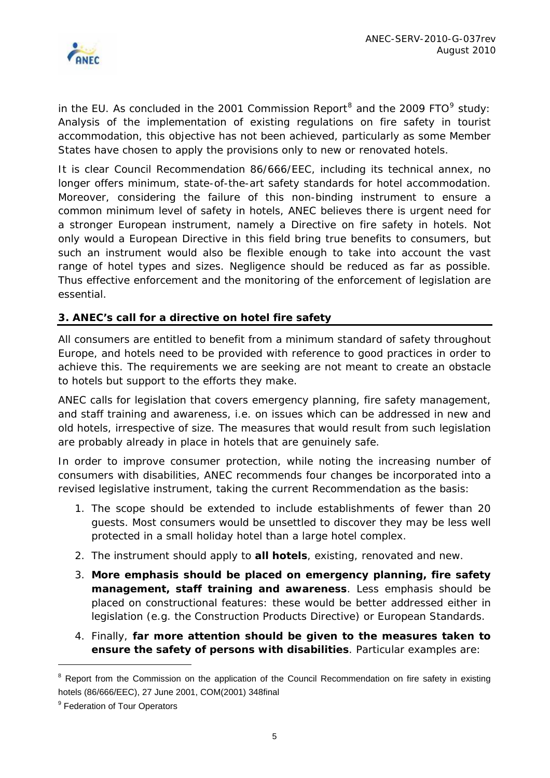<span id="page-5-0"></span>

in the EU. As concluded in the 2001 Commission Report<sup>[8](#page-5-1)</sup> and the 200[9](#page-5-2) FTO<sup>9</sup> study: *Analysis of the implementation of existing regulations on fire safety in tourist accommodation,* this objective has not been achieved, particularly as some Member States have chosen to apply the provisions only to new or renovated hotels.

It is clear Council Recommendation 86/666/EEC, including its technical annex, no longer offers minimum, state-of-the-art safety standards for hotel accommodation. Moreover, considering the failure of this non-binding instrument to ensure a common minimum level of safety in hotels, ANEC believes there is urgent need for a stronger European instrument, namely a Directive on fire safety in hotels. Not only would a European Directive in this field bring true benefits to consumers, but such an instrument would also be flexible enough to take into account the vast range of hotel types and sizes. Negligence should be reduced as far as possible. Thus effective enforcement and the monitoring of the enforcement of legislation are essential.

## **3. ANEC's call for a directive on hotel fire safety**

All consumers are entitled to benefit from a minimum standard of safety throughout Europe, and hotels need to be provided with reference to good practices in order to achieve this. The requirements we are seeking are not meant to create an obstacle to hotels but support to the efforts they make.

ANEC calls for legislation that covers emergency planning, fire safety management, and staff training and awareness, i.e. on issues which can be addressed in new and old hotels, irrespective of size. The measures that would result from such legislation are probably already in place in hotels that are genuinely safe.

In order to improve consumer protection, while noting the increasing number of consumers with disabilities, ANEC recommends four changes be incorporated into a revised legislative instrument, taking the current Recommendation as the basis:

- 1. The scope should be extended to include establishments of fewer than 20 guests. Most consumers would be unsettled to discover they may be less well protected in a small holiday hotel than a large hotel complex.
- 2. The instrument should apply to **all hotels**, existing, renovated and new.
- 3. **More emphasis should be placed on emergency planning, fire safety management, staff training and awareness**. Less emphasis should be placed on constructional features: these would be better addressed either in legislation (e.g. the Construction Products Directive) or European Standards.
- 4. Finally, **far more attention should be given to the measures taken to ensure the safety of persons with disabilities**. Particular examples are:

 $\overline{a}$ 

<span id="page-5-1"></span><sup>&</sup>lt;sup>8</sup> Report from the Commission on the application of the Council Recommendation on fire safety in existing hotels (86/666/EEC), 27 June 2001, COM(2001) 348final

<span id="page-5-2"></span><sup>&</sup>lt;sup>9</sup> Federation of Tour Operators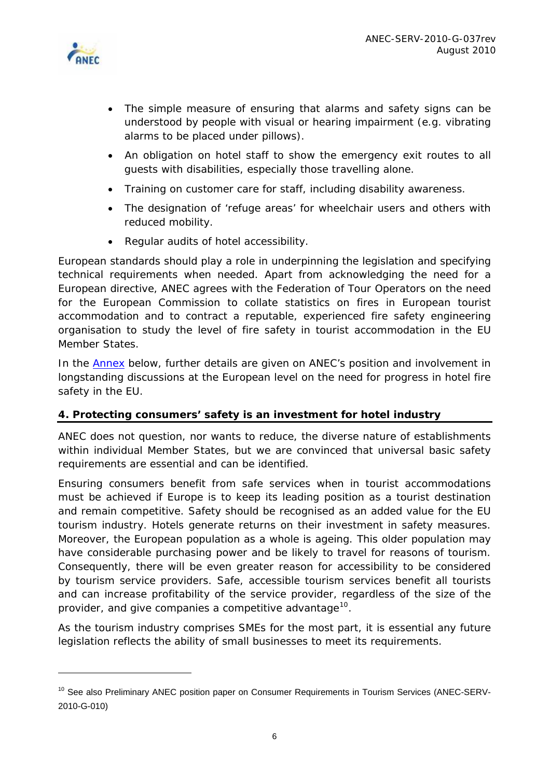<span id="page-6-0"></span>

 $\overline{a}$ 

- The simple measure of ensuring that alarms and safety signs can be understood by people with visual or hearing impairment (e.g. vibrating alarms to be placed under pillows).
- An obligation on hotel staff to show the emergency exit routes to all guests with disabilities, especially those travelling alone.
- Training on customer care for staff, including disability awareness.
- The designation of 'refuge areas' for wheelchair users and others with reduced mobility.
- Regular audits of hotel accessibility.

European standards should play a role in underpinning the legislation and specifying technical requirements when needed. Apart from acknowledging the need for a European directive, ANEC agrees with the Federation of Tour Operators on the need for the European Commission to collate statistics on fires in European tourist accommodation and to contract a reputable, experienced fire safety engineering organisation to study the level of fire safety in tourist accommodation in the EU Member States.

In the **Annex** below, further details are given on ANEC's position and involvement in longstanding discussions at the European level on the need for progress in hotel fire safety in the EU.

## **4. Protecting consumers' safety is an investment for hotel industry**

ANEC does not question, nor wants to reduce, the diverse nature of establishments within individual Member States, but we are convinced that universal basic safety requirements are essential and can be identified.

Ensuring consumers benefit from safe services when in tourist accommodations must be achieved if Europe is to keep its leading position as a tourist destination and remain competitive. Safety should be recognised as an added value for the EU tourism industry. Hotels generate returns on their investment in safety measures. Moreover, the European population as a whole is ageing. This older population may have considerable purchasing power and be likely to travel for reasons of tourism. Consequently, there will be even greater reason for accessibility to be considered by tourism service providers. Safe, accessible tourism services benefit all tourists and can increase profitability of the service provider, regardless of the size of the provider, and give companies a competitive advantage<sup>[10](#page-6-1)</sup>.

As the tourism industry comprises SMEs for the most part, it is essential any future legislation reflects the ability of small businesses to meet its requirements.

<span id="page-6-1"></span><sup>&</sup>lt;sup>10</sup> See also Preliminary ANEC position paper on Consumer Requirements in Tourism Services (ANEC-SERV-2010-G-010)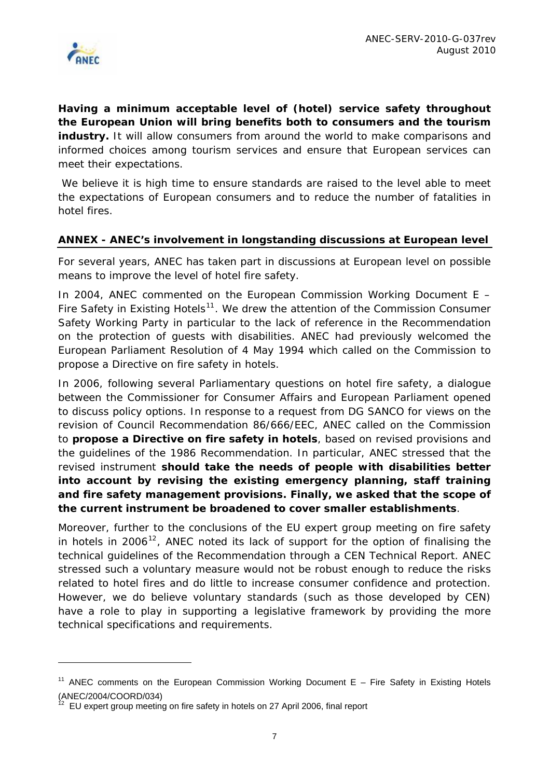<span id="page-7-0"></span>

 $\overline{a}$ 

**Having a minimum acceptable level of (hotel) service safety throughout the European Union will bring benefits both to consumers and the tourism**  industry. It will allow consumers from around the world to make comparisons and informed choices among tourism services and ensure that European services can meet their expectations.

We believe it is high time to ensure standards are raised to the level able to meet the expectations of European consumers and to reduce the number of fatalities in hotel fires.

### *ANNEX -* **ANEC's involvement in longstanding discussions at European level**

For several years, ANEC has taken part in discussions at European level on possible means to improve the level of hotel fire safety.

In 2004, ANEC commented on the *European Commission Working Document E – Fire Safety in Existing Hotels[11](#page-7-1).* We drew the attention of the Commission Consumer Safety Working Party in particular to the lack of reference in the Recommendation on the protection of guests with disabilities. ANEC had previously welcomed the European Parliament Resolution of 4 May 1994 which called on the Commission to propose a Directive on fire safety in hotels.

In 2006, following several Parliamentary questions on hotel fire safety, a dialogue between the Commissioner for Consumer Affairs and European Parliament opened to discuss policy options. In response to a request from DG SANCO for views on the revision of Council Recommendation 86/666/EEC, ANEC called on the Commission to **propose a Directive on fire safety in hotels**, based on revised provisions and the guidelines of the 1986 Recommendation. In particular, ANEC stressed that the revised instrument **should take the needs of people with disabilities better into account by revising the existing emergency planning, staff training and fire safety management provisions. Finally, we asked that the scope of the current instrument be broadened to cover smaller establishments**.

Moreover, further to the *conclusions of the EU expert group meeting on fire safety in hotels in 2006*[12](#page-7-2), ANEC noted its lack of support for the option of finalising the technical guidelines of the Recommendation through a CEN Technical Report. ANEC stressed such a voluntary measure would not be robust enough to reduce the risks related to hotel fires and do little to increase consumer confidence and protection. However, we do believe voluntary standards (such as those developed by CEN) have a role to play in supporting a legislative framework by providing the more technical specifications and requirements.

<span id="page-7-1"></span><sup>&</sup>lt;sup>11</sup> ANEC comments on the European Commission Working Document E - Fire Safety in Existing Hotels (ANEC/2004/COORD/034)

<span id="page-7-2"></span><sup>12</sup> EU expert group meeting on fire safety in hotels on 27 April 2006, final report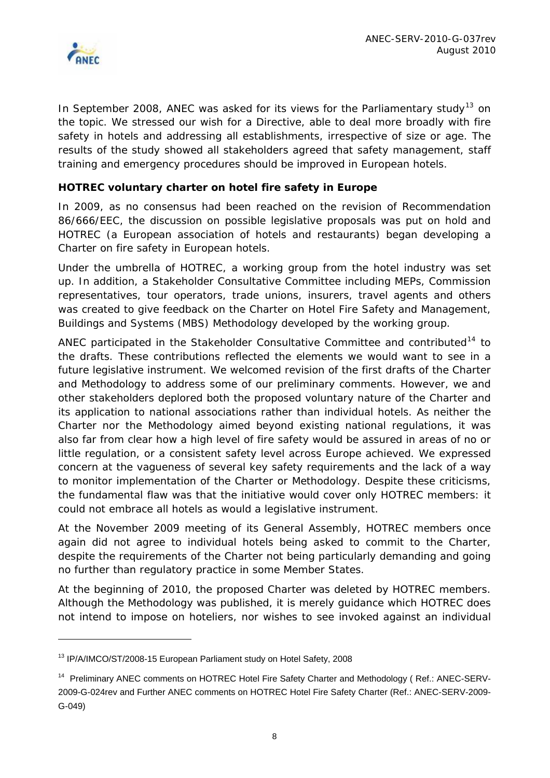

 $\overline{a}$ 

In September 2008, ANEC was asked for its views for the Parliamentary study<sup>[13](#page-8-0)</sup> on the topic. We stressed our wish for a Directive, able to deal more broadly with fire safety in hotels and addressing all establishments, irrespective of size or age. The results of the study showed all stakeholders agreed that safety management, staff training and emergency procedures should be improved in European hotels.

## *HOTREC voluntary charter on hotel fire safety in Europe*

In 2009, as no consensus had been reached on the revision of Recommendation 86/666/EEC, the discussion on possible legislative proposals was put on hold and HOTREC (a European association of hotels and restaurants) began developing a Charter on fire safety in European hotels.

Under the umbrella of HOTREC, a working group from the hotel industry was set up. In addition, a Stakeholder Consultative Committee including MEPs, Commission representatives, tour operators, trade unions, insurers, travel agents and others was created to give feedback on the *Charter on Hotel Fire Safety and Management, Buildings and Systems (MBS) Methodology* developed by the working group.

ANEC participated in the Stakeholder Consultative Committee and contributed<sup>[14](#page-8-1)</sup> to the drafts. These contributions reflected the elements we would want to see in a future legislative instrument. We welcomed revision of the first drafts of the Charter and Methodology to address some of our preliminary comments. However, we and other stakeholders deplored both the proposed *voluntary* nature of the Charter and its application to national associations rather than individual hotels. As neither the Charter nor the Methodology aimed beyond existing national regulations, it was also far from clear how a high level of fire safety would be assured in areas of no or little regulation, or a consistent safety level across Europe achieved. We expressed concern at the vagueness of several key safety requirements and the lack of a way to monitor implementation of the Charter or Methodology. Despite these criticisms, the fundamental flaw was that the initiative would cover only HOTREC members: it could not embrace all hotels as would a legislative instrument.

At the November 2009 meeting of its General Assembly, HOTREC members once again did not agree to individual hotels being asked to commit to the Charter, despite the requirements of the Charter not being particularly demanding and going no further than regulatory practice in some Member States.

At the beginning of 2010, the proposed Charter was deleted by HOTREC members. Although the Methodology was published, it is merely guidance which HOTREC does not intend to impose on hoteliers, nor wishes to see invoked against an individual

<span id="page-8-0"></span><sup>&</sup>lt;sup>13</sup> IP/A/IMCO/ST/2008-15 European Parliament study on Hotel Safety, 2008

<span id="page-8-1"></span><sup>&</sup>lt;sup>14</sup> Preliminary ANEC comments on HOTREC Hotel Fire Safety Charter and Methodology (Ref.: ANEC-SERV-2009-G-024rev and Further ANEC comments on HOTREC Hotel Fire Safety Charter (Ref.: ANEC-SERV-2009- G-049)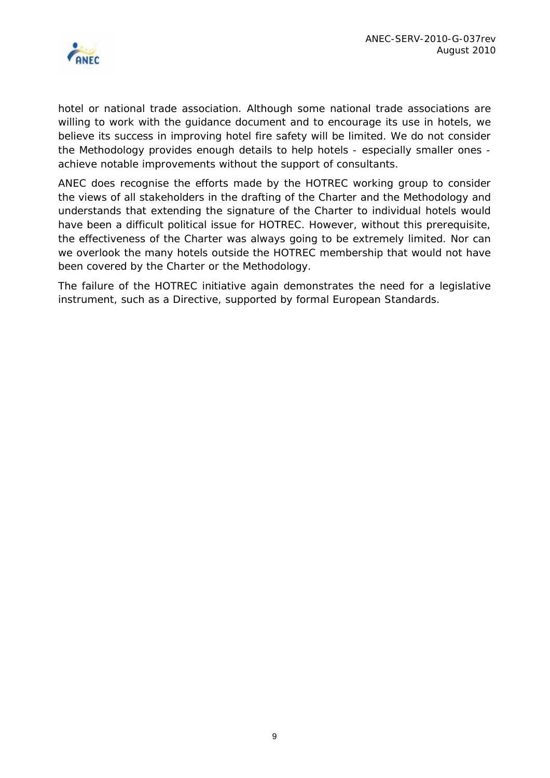

hotel or national trade association. Although some national trade associations are willing to work with the guidance document and to encourage its use in hotels, we believe its success in improving hotel fire safety will be limited. We do not consider the Methodology provides enough details to help hotels - especially smaller ones achieve notable improvements without the support of consultants.

ANEC does recognise the efforts made by the HOTREC working group to consider the views of all stakeholders in the drafting of the Charter and the Methodology and understands that extending the signature of the Charter to individual hotels would have been a difficult political issue for HOTREC. However, without this prerequisite, the effectiveness of the Charter was always going to be extremely limited. Nor can we overlook the many hotels outside the HOTREC membership that would not have been covered by the Charter or the Methodology.

The failure of the HOTREC initiative again demonstrates the need for a legislative instrument, such as a Directive, supported by formal European Standards.